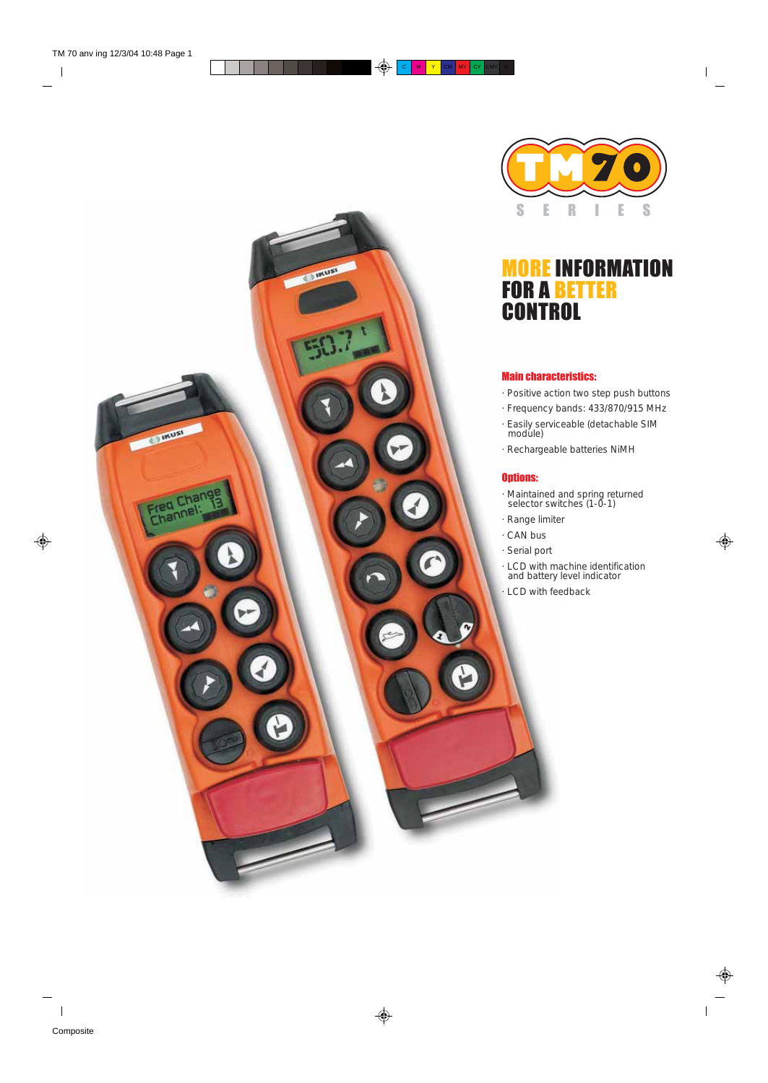

# MORE INFORMATION FOR A BETTER **CONTROL**

#### Main characteristics:

- · Positive action two step push buttons
- · Frequency bands: 433/870/915 MHz
- · Easily serviceable (detachable SIM module)
- · Rechargeable batteries NiMH

#### Options:

**Liver** 

IRUSI

- · Maintained and spring returned selector switches (1-0-1)
- · Range limiter
- · CAN bus
- · Serial port
- · LCD with machine identification and battery level indicator
- · LCD with feedback